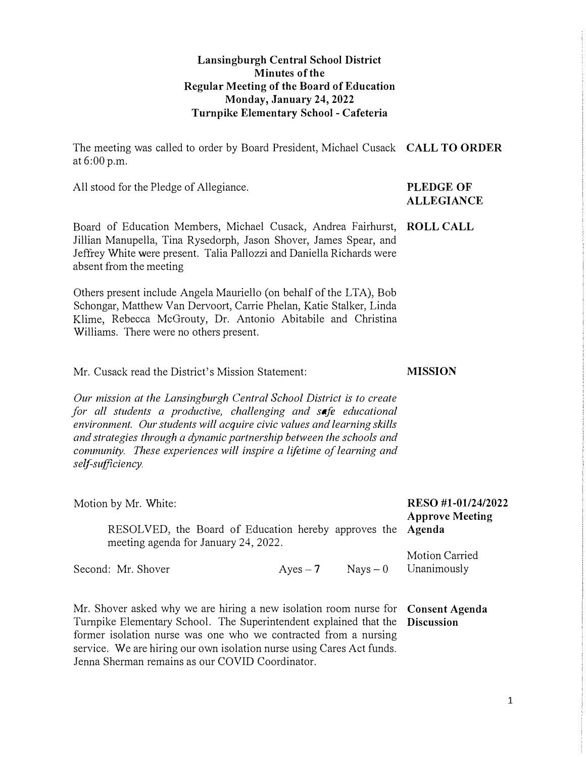#### **Lansingburgh Central School District Minutes of the Regular Meeting of the Board of Education Monday, January 24, 2022 Turnpike Elementary School - Cafeteria**

The meeting was called to order by Board President, Michael Cusack **CALL TO ORDER**  at 6:00 p.m.

All stood for the Pledge of Allegiance. **PLEDGE OF** 

Board of Education Members, Michael Cusack, Andrea Fairhurst, **ROLL CALL**  Jillian Manupella, Tina Rysedorph, Jason Shover, James Spear, and Jeffrey White were present. Talia Pallozzi and Daniella Richards were absent from the meeting

Others present include Angela Mauriello (on behalf of the LTA), Bob Schongar, Matthew Van Dervoort, Carrie Phelan, Katie Stalker, Linda Klime, Rebecca McGrouty, Dr. Antonio Abitabile and Christina Williams. There were no others present.

Mr. Cusack read the District's Mission Statement: **MISSION** 

*Our mission at the Lansingburgh Central School District is to create for all students a productive, challenging and safe educational environment. Our students will acquire civic values and learning skills and strategies through a dynamic partnership between the schools and community. These experiences will inspire a lifetime of learning and self-sufficiency.* 

| Motion by Mr. White:                                                                                |              |            | RESO #1-01/24/2022<br><b>Approve Meeting</b> |
|-----------------------------------------------------------------------------------------------------|--------------|------------|----------------------------------------------|
| RESOLVED, the Board of Education hereby approves the Agenda<br>meeting agenda for January 24, 2022. |              |            |                                              |
| Second: Mr. Shover                                                                                  | $A$ yes $-7$ | $Nays - 0$ | Motion Carried<br>Unanimously                |
|                                                                                                     |              |            |                                              |

Mr. Shover asked why we are hiring a new isolation room nurse for **Consent Agenda**  Turnpike Elementary School. The Superintendent explained that the **Discussion**  former isolation nurse was one who we contracted from a nursing service. We are hiring our own isolation nurse using Cares Act funds. Jenna Sherman remains as our COVID Coordinator.

## **ALLEGIANCE**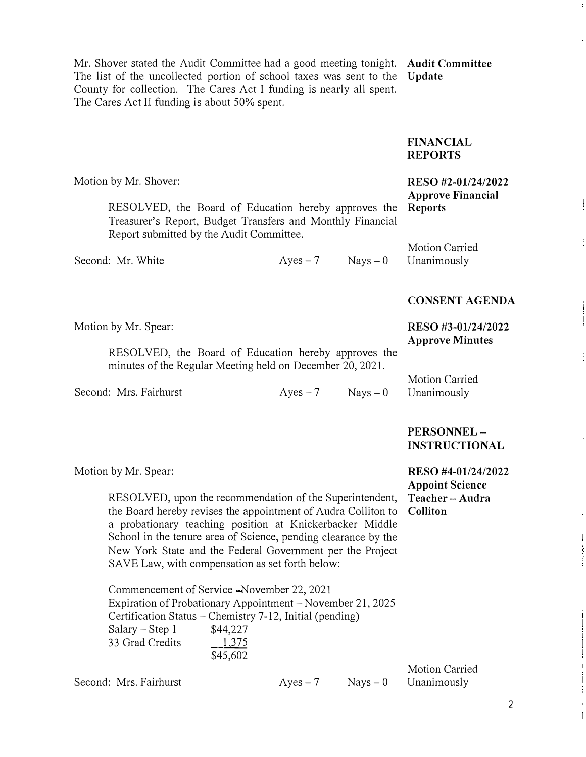Mr. Shover stated the Audit Committee had a good meeting tonight. **Audit Committee**  The list of the uncollected portion of school taxes was sent to the **Update**  County for collection. The Cares Act I funding is nearly all spent. The Cares Act II funding is about 50% spent.

#### **FINANCIAL REPORTS**

| Motion by Mr. Shover:<br>RESOLVED, the Board of Education hereby approves the<br>Treasurer's Report, Budget Transfers and Monthly Financial<br>Report submitted by the Audit Committee. |                      |                      | RESO #2-01/24/2022<br><b>Approve Financial</b><br><b>Reports</b> |
|-----------------------------------------------------------------------------------------------------------------------------------------------------------------------------------------|----------------------|----------------------|------------------------------------------------------------------|
|                                                                                                                                                                                         |                      |                      | <b>Motion Carried</b>                                            |
| Second: Mr. White                                                                                                                                                                       |                      | $Ayes - 7$ Nays $-0$ | Unanimously                                                      |
|                                                                                                                                                                                         |                      |                      | <b>CONSENT AGENDA</b>                                            |
| Motion by Mr. Spear:                                                                                                                                                                    |                      |                      | RESO #3-01/24/2022<br><b>Approve Minutes</b>                     |
| RESOLVED, the Board of Education hereby approves the<br>minutes of the Regular Meeting held on December 20, 2021.                                                                       |                      |                      |                                                                  |
|                                                                                                                                                                                         |                      |                      | <b>Motion Carried</b>                                            |
| Second: Mrs. Fairhurst                                                                                                                                                                  | $Ayes - 7$ Nays $-0$ |                      | Unanimously                                                      |
|                                                                                                                                                                                         |                      |                      | PERSONNEL-<br><b>INSTRUCTIONAL</b>                               |

Motion by Mr. Spear: **RESO #4-01/24/2022** 

RESOLVED, upon the recommendation of the Superintendent, **Teacher - Audra**  the Board hereby revises the appointment of Audra Colliton to **Colliton**  a probationary teaching position at Knickerbacker Middle School in the tenure area of Science, pending clearance by the New York State and the Federal Government per the Project SAVE Law, with compensation as set forth below:

Commencement of Service -November 22, 2021 Expiration of Probationary Appointment-November 21, 2025 Certification Status-Chemistry 7-12, Initial (pending)  $Salary - Step 1$ 33 Grad Credits \$45,602 \$44,227 1 375

Second: Mrs. Fairhurst  $Ayes-7$  Nays  $-0$  Unanimously

Motion Carried

**Appoint Science**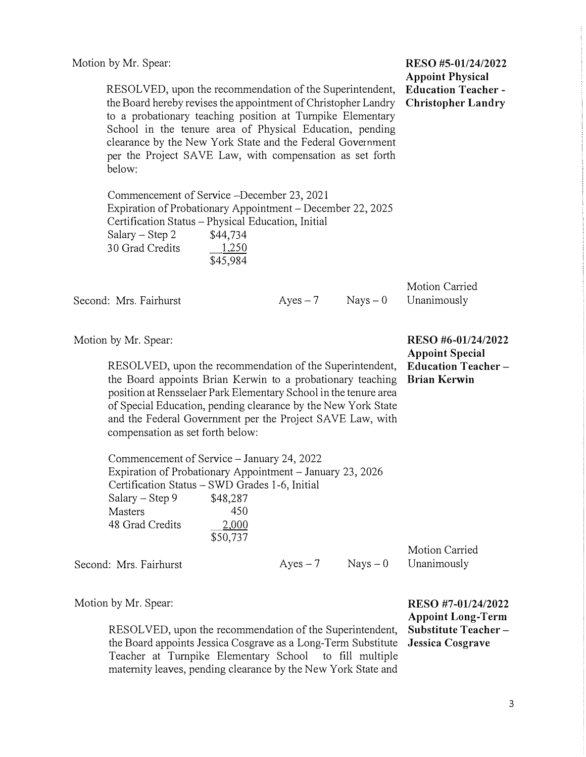| RESOLVED, upon the recommendation of the Superintendent,<br>the Board hereby revises the appointment of Christopher Landry<br>to a probationary teaching position at Turnpike Elementary<br>School in the tenure area of Physical Education, pending<br>clearance by the New York State and the Federal Government<br>per the Project SAVE Law, with compensation as set forth<br>below: | <b>Appoint Physical</b><br><b>Education Teacher-</b><br><b>Christopher Landry</b>                |  |
|------------------------------------------------------------------------------------------------------------------------------------------------------------------------------------------------------------------------------------------------------------------------------------------------------------------------------------------------------------------------------------------|--------------------------------------------------------------------------------------------------|--|
| Commencement of Service –December 23, 2021<br>Expiration of Probationary Appointment - December 22, 2025<br>Certification Status - Physical Education, Initial<br>Salary – Step 2<br>\$44,734<br>30 Grad Credits<br>\$45,984                                                                                                                                                             |                                                                                                  |  |
| Second: Mrs. Fairhurst                                                                                                                                                                                                                                                                                                                                                                   | Motion Carried<br>Unanimously<br>$Nays - 0$                                                      |  |
| Motion by Mr. Spear:<br>RESOLVED, upon the recommendation of the Superintendent,<br>the Board appoints Brian Kerwin to a probationary teaching<br>position at Rensselaer Park Elementary School in the tenure area<br>of Special Education, pending clearance by the New York State<br>and the Federal Government per the Project SAVE Law, with<br>compensation as set forth below:     | RESO #6-01/24/2022<br><b>Appoint Special</b><br><b>Education Teacher-</b><br><b>Brian Kerwin</b> |  |

Motion by Mr. Spear: **RESO #5-01/24/2022** 

Commencement of Service -January 24, 2022 Expiration of Probationary Appointment - January 23, 2026 Certification Status -SWD Grades 1-6, Initial  $Salary - Step 9$  \$48,287 Masters 450<br>48 Grad Credits 2.000 48 Grad Credits \$50,737

Second: Mrs. Fairhurst  $Ayes-7$  Nays - 0 Unanimously

Motion Carried

RESOLVED, upon the recommendation of the Superintendent, **Substitute Teacher**  the Board appoints Jessica Cosgrave as a Long-Term Substitute **Jessica Cosgrave**  Teacher at Turnpike Elementary School to fill multiple maternity leaves, pending clearance by the New York State and

Motion by Mr. Spear: **RESO #7-01/24/2022 Appoint Long-Term**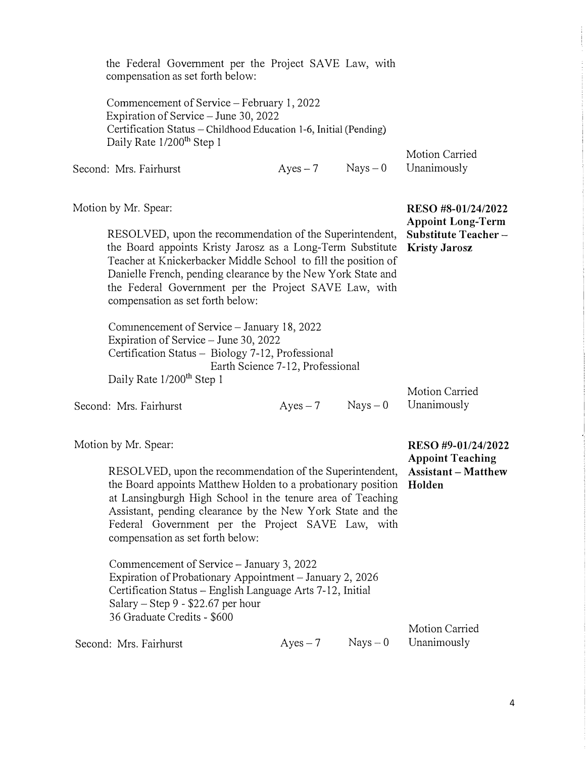| the Federal Government per the Project SAVE Law, with<br>compensation as set forth below:                                                                                                                                                                                                                                                             |                                  |            |                                                |
|-------------------------------------------------------------------------------------------------------------------------------------------------------------------------------------------------------------------------------------------------------------------------------------------------------------------------------------------------------|----------------------------------|------------|------------------------------------------------|
| Commencement of Service – February 1, 2022<br>Expiration of Service – June 30, 2022<br>Certification Status - Childhood Education 1-6, Initial (Pending)<br>Daily Rate 1/200 <sup>th</sup> Step 1                                                                                                                                                     |                                  |            | Motion Carried                                 |
| Second: Mrs. Fairhurst                                                                                                                                                                                                                                                                                                                                | $Ayes - 7$                       | $Nays - 0$ | Unanimously                                    |
| Motion by Mr. Spear:                                                                                                                                                                                                                                                                                                                                  |                                  |            | RESO #8-01/24/2022<br><b>Appoint Long-Term</b> |
| RESOLVED, upon the recommendation of the Superintendent,<br>the Board appoints Kristy Jarosz as a Long-Term Substitute<br>Teacher at Knickerbacker Middle School to fill the position of<br>Danielle French, pending clearance by the New York State and<br>the Federal Government per the Project SAVE Law, with<br>compensation as set forth below: |                                  |            | Substitute Teacher-<br><b>Kristy Jarosz</b>    |
| Commencement of Service - January 18, 2022<br>Expiration of Service - June 30, 2022<br>Certification Status - Biology 7-12, Professional<br>Daily Rate 1/200 <sup>th</sup> Step 1                                                                                                                                                                     | Earth Science 7-12, Professional |            |                                                |
| Second: Mrs. Fairhurst                                                                                                                                                                                                                                                                                                                                | $Ayes - 7$                       | $Nays - 0$ | Motion Carried<br>Unanimously                  |
| Motion by Mr. Spear:                                                                                                                                                                                                                                                                                                                                  |                                  |            | RESO #9-01/24/2022<br><b>Appoint Teaching</b>  |
| RESOLVED, upon the recommendation of the Superintendent,<br>the Board appoints Matthew Holden to a probationary position Holden<br>at Lansingburgh High School in the tenure area of Teaching<br>Assistant, pending clearance by the New York State and the<br>Federal Government per the Project SAVE Law, with<br>compensation as set forth below:  |                                  |            | <b>Assistant - Matthew</b>                     |
| Commencement of Service - January 3, 2022<br>Expiration of Probationary Appointment – January 2, 2026<br>Certification Status - English Language Arts 7-12, Initial<br>Salary $-$ Step 9 - \$22.67 per hour<br>36 Graduate Credits - \$600                                                                                                            |                                  |            |                                                |
|                                                                                                                                                                                                                                                                                                                                                       |                                  |            | Motion Counted                                 |

Second: Mrs. Fairhurst  $Ayes-7$  Nays  $-0$  Unanimously

Motion Carried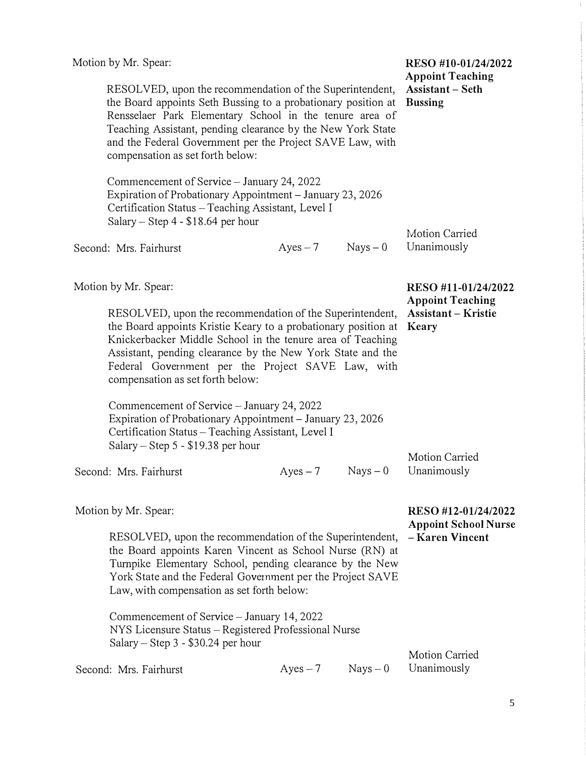|                                                                                                                                                                                                                                                                                                                                                      | Motion by Mr. Spear:                                                                                                                                                                                                                                                                                                                            |                     |                                    | RESO #10-01/24/2022<br><b>Appoint Teaching</b>                        |
|------------------------------------------------------------------------------------------------------------------------------------------------------------------------------------------------------------------------------------------------------------------------------------------------------------------------------------------------------|-------------------------------------------------------------------------------------------------------------------------------------------------------------------------------------------------------------------------------------------------------------------------------------------------------------------------------------------------|---------------------|------------------------------------|-----------------------------------------------------------------------|
| RESOLVED, upon the recommendation of the Superintendent,<br>the Board appoints Seth Bussing to a probationary position at<br>Rensselaer Park Elementary School in the tenure area of<br>Teaching Assistant, pending clearance by the New York State<br>and the Federal Government per the Project SAVE Law, with<br>compensation as set forth below: |                                                                                                                                                                                                                                                                                                                                                 |                     | Assistant - Seth<br><b>Bussing</b> |                                                                       |
|                                                                                                                                                                                                                                                                                                                                                      | Commencement of Service - January 24, 2022<br>Expiration of Probationary Appointment - January 23, 2026<br>Certification Status - Teaching Assistant, Level I<br>Salary – Step $4 - $18.64$ per hour                                                                                                                                            |                     |                                    |                                                                       |
|                                                                                                                                                                                                                                                                                                                                                      | Second: Mrs. Fairhurst                                                                                                                                                                                                                                                                                                                          | $Ayes - 7$ Nays - 0 |                                    | Motion Carried<br>Unanimously                                         |
|                                                                                                                                                                                                                                                                                                                                                      | Motion by Mr. Spear:                                                                                                                                                                                                                                                                                                                            |                     |                                    | RESO #11-01/24/2022<br><b>Appoint Teaching</b>                        |
|                                                                                                                                                                                                                                                                                                                                                      | RESOLVED, upon the recommendation of the Superintendent,<br>the Board appoints Kristie Keary to a probationary position at<br>Knickerbacker Middle School in the tenure area of Teaching<br>Assistant, pending clearance by the New York State and the<br>Federal Government per the Project SAVE Law, with<br>compensation as set forth below: |                     |                                    | <b>Assistant – Kristie</b><br>Keary                                   |
|                                                                                                                                                                                                                                                                                                                                                      | Commencement of Service - January 24, 2022<br>Expiration of Probationary Appointment - January 23, 2026<br>Certification Status - Teaching Assistant, Level I<br>Salary – Step 5 - $$19.38$ per hour                                                                                                                                            |                     |                                    |                                                                       |
|                                                                                                                                                                                                                                                                                                                                                      | Second: Mrs. Fairhurst                                                                                                                                                                                                                                                                                                                          | $Ayes - 7$          | $Nays - 0$                         | Motion Carried<br>Unanimously                                         |
|                                                                                                                                                                                                                                                                                                                                                      | Motion by Mr. Spear:                                                                                                                                                                                                                                                                                                                            |                     |                                    | RESO #12-01/24/2022<br><b>Appoint School Nurse</b><br>- Karen Vincent |
| RESOLVED, upon the recommendation of the Superintendent,<br>the Board appoints Karen Vincent as School Nurse (RN) at<br>Turnpike Elementary School, pending clearance by the New<br>York State and the Federal Government per the Project SAVE<br>Law, with compensation as set forth below:                                                         |                                                                                                                                                                                                                                                                                                                                                 |                     |                                    |                                                                       |
|                                                                                                                                                                                                                                                                                                                                                      | Commencement of Service – January 14, 2022<br>NYS Licensure Status – Registered Professional Nurse<br>Salary – Step $3 - $30.24$ per hour                                                                                                                                                                                                       |                     |                                    |                                                                       |
|                                                                                                                                                                                                                                                                                                                                                      | Second: Mrs. Fairhurst                                                                                                                                                                                                                                                                                                                          | $Ayes-7$            | $Nays - 0$                         | <b>Motion Carried</b><br>Unanimously                                  |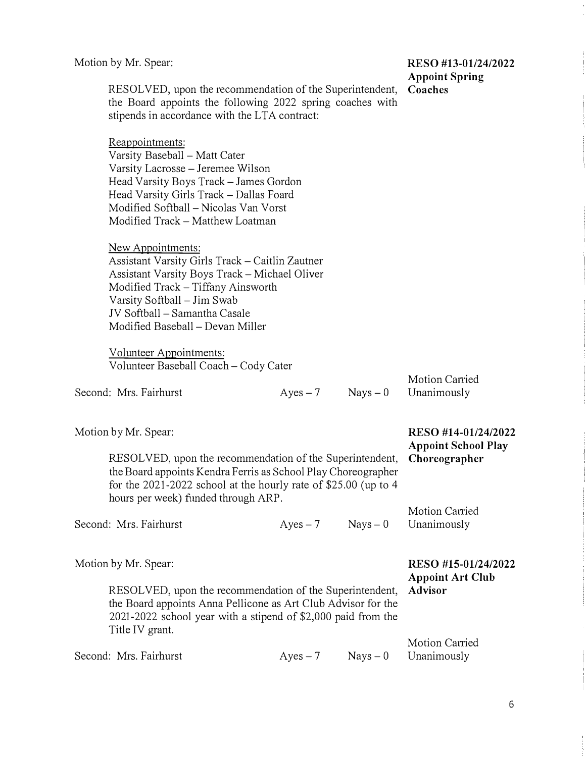# **Appoint Spring**

RESOLVED, upon the recommendation of the Superintendent, **Coaches**  the Board appoints the following 2022 spring coaches with stipends in accordance with the LTA contract:

Reappointments: Varsity Baseball - Matt Cater Varsity Lacrosse - Jeremee Wilson Head Varsity Boys Track - James Gordon Head Varsity Girls Track-Dallas Foard Modified Softball - Nicolas Van Vorst Modified Track - Matthew Loatman

New Appointments: Assistant Varsity Girls Track - Caitlin Zautner Assistant Varsity Boys Track - Michael Oliver Modified Track-Tiffany Ainsworth Varsity Softball - Jim Swab JV Softball - Samantha Casale Modified Baseball - Devan Miller

Volunteer Appointments: Volunteer Baseball Coach - Cody Cater

| Second: Mrs. Fairhurst | $A$ yes $-7$ | $Nays - 0$ Unanimously |
|------------------------|--------------|------------------------|
|                        |              |                        |

| Motion Carried |  |
|----------------|--|
| Unanimously    |  |
|                |  |

Motion Carried

**Appoint School Play** 

Motion by Mr. Spear: **RESO #14-01/24/2022** 

RESOLVED, upon the recommendation of the Superintendent, **Choreographer**  the Board appoints Kendra Ferris as School Play Choreographer for the 2021-2022 school at the hourly rate of \$25.00 (up to 4 hours per week) funded through ARP.

Second: Mrs. Fairhurst  $Ayes-7$  Nays - 0 Unanimously

Motion by Mr. Spear: **RESO #15-01/24/2022** 

**Appoint Art Club** 

RESOLVED, upon the recommendation of the Superintendent, **Advisor**  the Board appoints Anna Pellicone as Art Club Advisor for the 2021-2022 school year with a stipend of \$2,000 paid from the Title IV grant.

Second: Mrs. Fairhurst  $Ayes-7$  Nays - 0 Unanimously

Motion Carried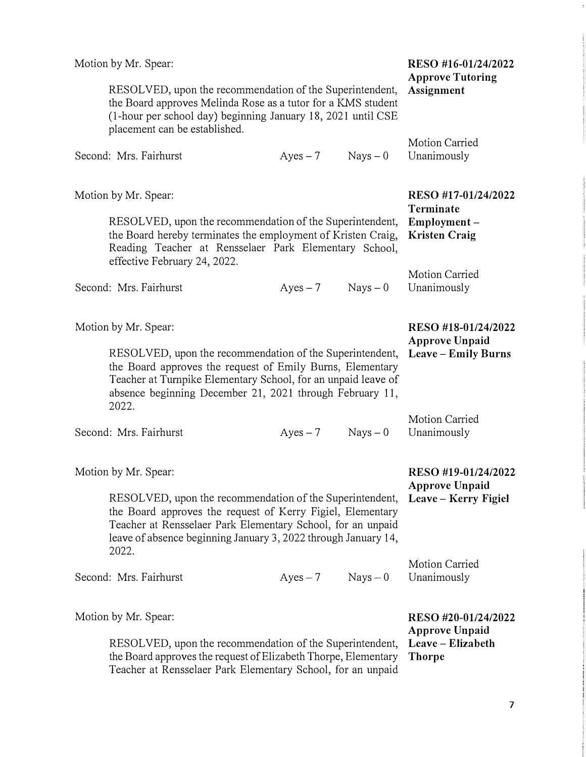|                                                                                                                                                                                                                                                                            | Motion by Mr. Spear:                                                                                                                                                                                                                                                            | RESO #16-01/24/2022<br><b>Approve Tutoring</b> |            |                                                                                    |
|----------------------------------------------------------------------------------------------------------------------------------------------------------------------------------------------------------------------------------------------------------------------------|---------------------------------------------------------------------------------------------------------------------------------------------------------------------------------------------------------------------------------------------------------------------------------|------------------------------------------------|------------|------------------------------------------------------------------------------------|
|                                                                                                                                                                                                                                                                            | RESOLVED, upon the recommendation of the Superintendent,<br>the Board approves Melinda Rose as a tutor for a KMS student<br>(1-hour per school day) beginning January 18, 2021 until CSE<br>placement can be established.                                                       | Assignment                                     |            |                                                                                    |
|                                                                                                                                                                                                                                                                            | Second: Mrs. Fairhurst                                                                                                                                                                                                                                                          | $Ayes - 7$                                     | $Nays - 0$ | Motion Carried<br>Unanimously                                                      |
|                                                                                                                                                                                                                                                                            | Motion by Mr. Spear:<br>RESOLVED, upon the recommendation of the Superintendent,<br>the Board hereby terminates the employment of Kristen Craig,<br>Reading Teacher at Rensselaer Park Elementary School,<br>effective February 24, 2022.                                       |                                                |            | RESO #17-01/24/2022<br>Terminate<br>Employment-<br><b>Kristen Craig</b>            |
|                                                                                                                                                                                                                                                                            | Second: Mrs. Fairhurst                                                                                                                                                                                                                                                          | $Ayes - 7$                                     | $Nays - 0$ | Motion Carried<br>Unanimously                                                      |
| Motion by Mr. Spear:<br>RESOLVED, upon the recommendation of the Superintendent,<br>the Board approves the request of Emily Burns, Elementary<br>Teacher at Turnpike Elementary School, for an unpaid leave of<br>absence beginning December 21, 2021 through February 11, |                                                                                                                                                                                                                                                                                 |                                                |            | RESO #18-01/24/2022<br><b>Approve Unpaid</b><br>Leave – Emily Burns                |
|                                                                                                                                                                                                                                                                            | 2022.<br>Second: Mrs. Fairhurst                                                                                                                                                                                                                                                 | $Ayes - 7$                                     | $Nays - 0$ | Motion Carried<br>Unanimously                                                      |
|                                                                                                                                                                                                                                                                            | Motion by Mr. Spear:<br>RESOLVED, upon the recommendation of the Superintendent,<br>the Board approves the request of Kerry Figiel, Elementary<br>Teacher at Rensselaer Park Elementary School, for an unpaid<br>leave of absence beginning January 3, 2022 through January 14, |                                                |            | RESO #19-01/24/2022<br><b>Approve Unpaid</b><br>Leave – Kerry Figiel               |
|                                                                                                                                                                                                                                                                            | 2022.<br>Second: Mrs. Fairhurst                                                                                                                                                                                                                                                 | $Ayes-7$                                       | $Nays - 0$ | Motion Carried<br>Unanimously                                                      |
|                                                                                                                                                                                                                                                                            | Motion by Mr. Spear:<br>RESOLVED, upon the recommendation of the Superintendent,<br>the Board approves the request of Elizabeth Thorpe, Elementary<br>Teacher at Rensselaer Park Elementary School, for an unpaid                                                               |                                                |            | RESO #20-01/24/2022<br><b>Approve Unpaid</b><br>Leave – Elizabeth<br><b>Thorpe</b> |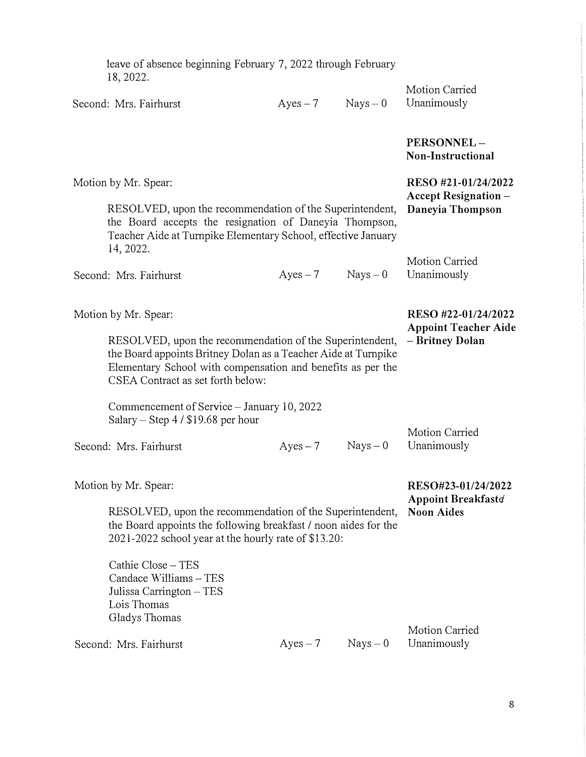| leave of absence beginning February 7, 2022 through February<br>18, 2022.                                                                                                                                                      |            |            |                                                    |
|--------------------------------------------------------------------------------------------------------------------------------------------------------------------------------------------------------------------------------|------------|------------|----------------------------------------------------|
| Second: Mrs. Fairhurst                                                                                                                                                                                                         | $Ayes-7$   | $Nays - 0$ | Motion Carried<br>Unanimously                      |
|                                                                                                                                                                                                                                |            |            | PERSONNEL-<br>Non-Instructional                    |
| Motion by Mr. Spear:                                                                                                                                                                                                           |            |            | RESO #21-01/24/2022<br><b>Accept Resignation -</b> |
| RESOLVED, upon the recommendation of the Superintendent,<br>the Board accepts the resignation of Daneyia Thompson,<br>Teacher Aide at Turnpike Elementary School, effective January<br>14, 2022.                               |            |            | Daneyia Thompson                                   |
| Second: Mrs. Fairhurst                                                                                                                                                                                                         | $Ayes-7$   | $Nays - 0$ | Motion Carried<br>Unanimously                      |
| Motion by Mr. Spear:                                                                                                                                                                                                           |            |            | RESO #22-01/24/2022<br><b>Appoint Teacher Aide</b> |
| RESOLVED, upon the recommendation of the Superintendent,<br>the Board appoints Britney Dolan as a Teacher Aide at Turnpike<br>Elementary School with compensation and benefits as per the<br>CSEA Contract as set forth below: |            |            | - Britney Dolan                                    |
| Commencement of Service – January 10, 2022<br>Salary – Step $4/$ \$19.68 per hour                                                                                                                                              |            |            |                                                    |
| Second: Mrs. Fairhurst                                                                                                                                                                                                         | $Ayes - 7$ | $Nays - 0$ | Motion Carried<br>Unanimously                      |
| Motion by Mr. Spear:                                                                                                                                                                                                           |            |            | RESO#23-01/24/2022<br>Appoint Breakfaste           |
| RESOLVED, upon the recommendation of the Superintendent,<br>the Board appoints the following breakfast / noon aides for the<br>2021-2022 school year at the hourly rate of \$13.20:                                            |            |            | <b>Noon Aides</b>                                  |
| Cathie Close - TES<br>Candace Williams - TES<br>Julissa Carrington $-$ TES<br>Lois Thomas<br>Gladys Thomas                                                                                                                     |            |            |                                                    |
| Second: Mrs. Fairhurst                                                                                                                                                                                                         | $Ayes - 7$ | $Nays - 0$ | <b>Motion Carried</b><br>Unanimously               |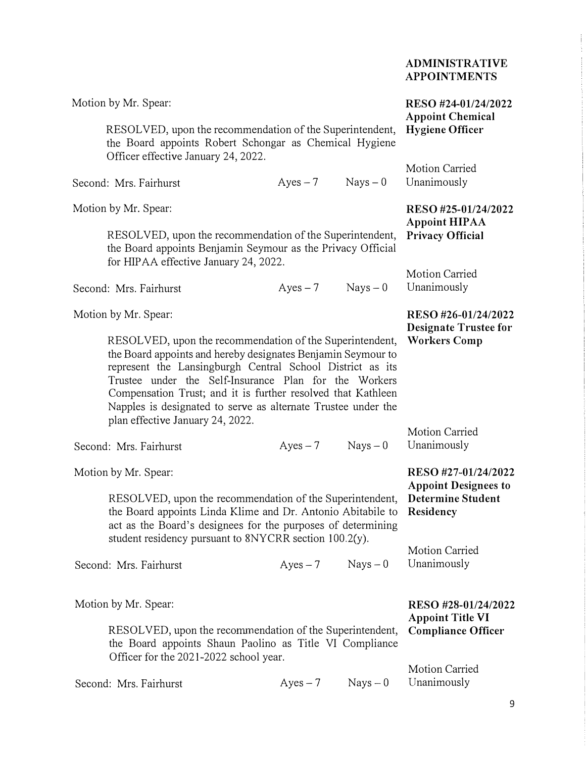| ADMINISTRATIVE      |
|---------------------|
| <b>APPOINTMENTS</b> |

| Motion by Mr. Spear:                   |                                                                                                                                                                                                                                                                                                                                                                                 |            | RESO #24-01/24/2022<br><b>Appoint Chemical</b>                       |
|----------------------------------------|---------------------------------------------------------------------------------------------------------------------------------------------------------------------------------------------------------------------------------------------------------------------------------------------------------------------------------------------------------------------------------|------------|----------------------------------------------------------------------|
| Officer effective January 24, 2022.    | RESOLVED, upon the recommendation of the Superintendent,<br>the Board appoints Robert Schongar as Chemical Hygiene                                                                                                                                                                                                                                                              |            | <b>Hygiene Officer</b>                                               |
| Second: Mrs. Fairhurst                 | $Ayes - 7$                                                                                                                                                                                                                                                                                                                                                                      | $Nays - 0$ | Motion Carried<br>Unanimously                                        |
| Motion by Mr. Spear:                   |                                                                                                                                                                                                                                                                                                                                                                                 |            | RESO #25-01/24/2022                                                  |
| for HIPAA effective January 24, 2022.  | RESOLVED, upon the recommendation of the Superintendent,<br>the Board appoints Benjamin Seymour as the Privacy Official                                                                                                                                                                                                                                                         |            | <b>Appoint HIPAA</b><br><b>Privacy Official</b>                      |
| Second: Mrs. Fairhurst                 | $Ayes - 7$                                                                                                                                                                                                                                                                                                                                                                      | $Nays - 0$ | Motion Carried<br>Unanimously                                        |
| Motion by Mr. Spear:                   |                                                                                                                                                                                                                                                                                                                                                                                 |            | RESO #26-01/24/2022<br><b>Designate Trustee for</b>                  |
| plan effective January 24, 2022.       | RESOLVED, upon the recommendation of the Superintendent,<br>the Board appoints and hereby designates Benjamin Seymour to<br>represent the Lansingburgh Central School District as its<br>Trustee under the Self-Insurance Plan for the Workers<br>Compensation Trust; and it is further resolved that Kathleen<br>Napples is designated to serve as alternate Trustee under the |            | <b>Workers Comp</b>                                                  |
| Second: Mrs. Fairhurst                 | $Ayes - 7$                                                                                                                                                                                                                                                                                                                                                                      | $Nays - 0$ | Motion Carried<br>Unanimously                                        |
| Motion by Mr. Spear:                   |                                                                                                                                                                                                                                                                                                                                                                                 |            | RESO #27-01/24/2022                                                  |
|                                        | RESOLVED, upon the recommendation of the Superintendent,<br>the Board appoints Linda Klime and Dr. Antonio Abitabile to<br>act as the Board's designees for the purposes of determining                                                                                                                                                                                         |            | <b>Appoint Designees to</b><br><b>Determine Student</b><br>Residency |
|                                        | student residency pursuant to 8NYCRR section 100.2(y).                                                                                                                                                                                                                                                                                                                          |            | Motion Carried                                                       |
| Second: Mrs. Fairhurst                 | $Ayes - 7$                                                                                                                                                                                                                                                                                                                                                                      | $Nays - 0$ | Unanimously                                                          |
| Motion by Mr. Spear:                   |                                                                                                                                                                                                                                                                                                                                                                                 |            | RESO #28-01/24/2022<br><b>Appoint Title VI</b>                       |
| Officer for the 2021-2022 school year. | RESOLVED, upon the recommendation of the Superintendent,<br>the Board appoints Shaun Paolino as Title VI Compliance                                                                                                                                                                                                                                                             |            | <b>Compliance Officer</b>                                            |
| Second: Mrs. Fairhurst                 | $Ayes - 7$                                                                                                                                                                                                                                                                                                                                                                      | $Nays - 0$ | Motion Carried<br>Unanimously                                        |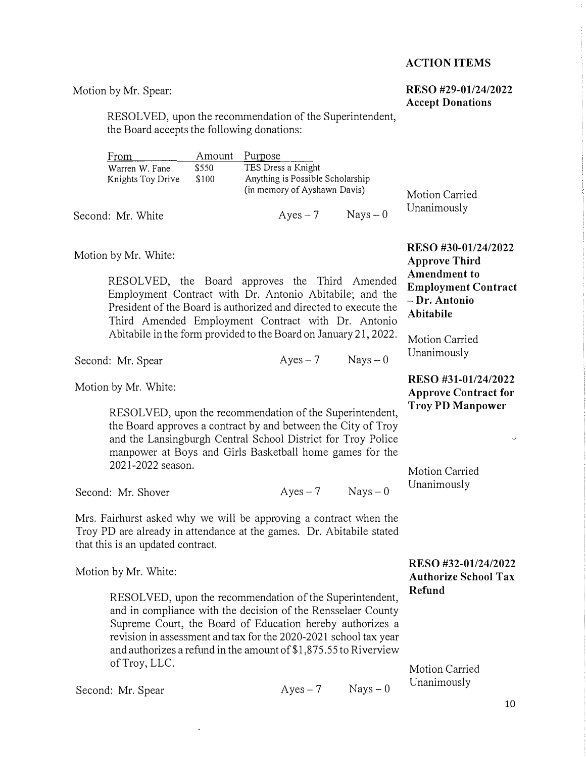#### **ACTION ITEMS**

#### **RESO #29-01/24/2022 Accept Donations**

**Motion by Mr. Spear:** 

RESOLVED, upon the reconumendation of the Superintendent, **the Board accepts the following donations:** 

| From              | Amount | Purpose                          |                |
|-------------------|--------|----------------------------------|----------------|
| Warren W. Fane    | \$550  | TES Dress a Knight               |                |
| Knights Toy Drive | \$100  | Anything is Possible Scholarship |                |
|                   |        | (in memory of Ayshawn Davis)     | Motion Carried |
| Second: Mr. White |        | $Nays - 0$<br>$Ayes-7$           | Unanimously    |

**Motion by Mr. White:** 

**RESOLVED, the Board approves the Third Amended Employment Contract with Dr. Antonio Abitabile; and the President of the Board is authorized and directed to execute the Third Amended Employment Contract with Dr. Antonio Abitabile in the form provided to the Board on January 21, 2022.** 

**RESO #30-01/24/2022 Approve Third Amendment to Employment Contract - Dr. Antonio Abitabile** 

**RESO #31-01/24/2022 Approve Contract for Troy PD Manpower** 

**Motion Carried Unanimously** 

Second: Mr. Spear **Ayes-7** Nays - 0

**Motion by Mr. White:** 

**RESOLVED, upon the recommendation of the Superintendent, the Board approves a contract by and between the City of Troy and the Lansingburgh Central School District for Troy Police manpower at Boys and Girls Basketball home games for the 2021-2022 season.** 

Second: Mr. Shover Ayes – 7 Nays – 0

**Mrs. Fairhurst asked why we will be approving a contract when the Troy PD are already in attendance at the games. Dr. Abitabile stated that this is an updated contract.** 

**Motion by Mr. White:** 

**RESOLVED, upon the recommendation of the Superintendent, and in compliance with the decision of the Rensselaer County Supreme Court, the Board of Education hereby authorizes a revision in assessment and tax for the 2020-2021 school tax year and authorizes a refund in the amount [of\\$1,875.55](https://of$1,875.55) to Riverview of Troy, LLC.** 

**Motion Carried Unanimously** 

**RESO #32-01/24/2022 Authorize School Tax Refund** 

Second: Mr. Spear Ayes - 7 Nays - 0

**Motion Carried Unanimously** 

 $\bar{\psi}$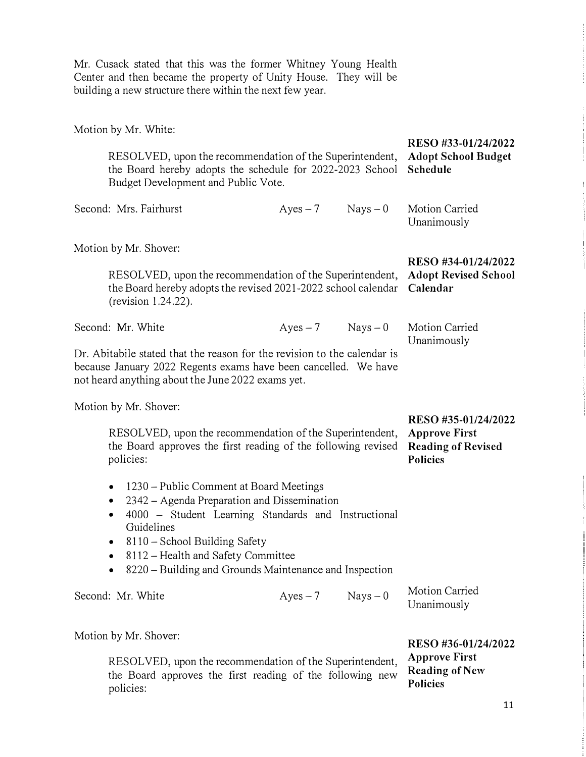Mr. Cusack stated that this was the fonner Whitney Young Health Center and then became the property of Unity House. They will be building a new structure there within the next few year.

| Motion by Mr. White:        |                                                                                                                                                                                                                                                                                              |                      |                                                                      |                                                                                             |  |
|-----------------------------|----------------------------------------------------------------------------------------------------------------------------------------------------------------------------------------------------------------------------------------------------------------------------------------------|----------------------|----------------------------------------------------------------------|---------------------------------------------------------------------------------------------|--|
|                             | RESOLVED, upon the recommendation of the Superintendent,<br>the Board hereby adopts the schedule for 2022-2023 School<br>Budget Development and Public Vote.                                                                                                                                 |                      | RESO #33-01/24/2022<br><b>Adopt School Budget</b><br><b>Schedule</b> |                                                                                             |  |
|                             | Second: Mrs. Fairhurst                                                                                                                                                                                                                                                                       | $Ayes-7$             | $Nays - 0$                                                           | Motion Carried<br>Unanimously                                                               |  |
|                             | Motion by Mr. Shover:<br>RESOLVED, upon the recommendation of the Superintendent,<br>the Board hereby adopts the revised 2021-2022 school calendar<br>(revision 1.24.22).                                                                                                                    |                      |                                                                      | RESO #34-01/24/2022<br><b>Adopt Revised School</b><br>Calendar                              |  |
|                             | Second: Mr. White<br>Dr. Abitabile stated that the reason for the revision to the calendar is<br>because January 2022 Regents exams have been cancelled. We have<br>not heard anything about the June 2022 exams yet.                                                                        | $Ayes - 7$ Nays $-0$ |                                                                      | Motion Carried<br>Unanimously                                                               |  |
|                             | Motion by Mr. Shover:<br>RESOLVED, upon the recommendation of the Superintendent,<br>the Board approves the first reading of the following revised<br>policies:                                                                                                                              |                      |                                                                      | RESO #35-01/24/2022<br><b>Approve First</b><br><b>Reading of Revised</b><br><b>Policies</b> |  |
| $\bullet$<br>۰<br>$\bullet$ | 1230 – Public Comment at Board Meetings<br>2342 – Agenda Preparation and Dissemination<br>4000 - Student Learning Standards and Instructional<br>Guidelines<br>8110 – School Building Safety<br>8112 – Health and Safety Committee<br>8220 – Building and Grounds Maintenance and Inspection |                      |                                                                      |                                                                                             |  |
|                             | Second: Mr. White                                                                                                                                                                                                                                                                            | $Ayes - 7$           | $Nays - 0$                                                           | Motion Carried<br>Unanimously                                                               |  |
|                             | Motion by Mr. Shover:<br>RESOLVED, upon the recommendation of the Superintendent,<br>the Board approves the first reading of the following new<br>policies:                                                                                                                                  |                      |                                                                      | RESO #36-01/24/2022<br><b>Approve First</b><br><b>Reading of New</b><br><b>Policies</b>     |  |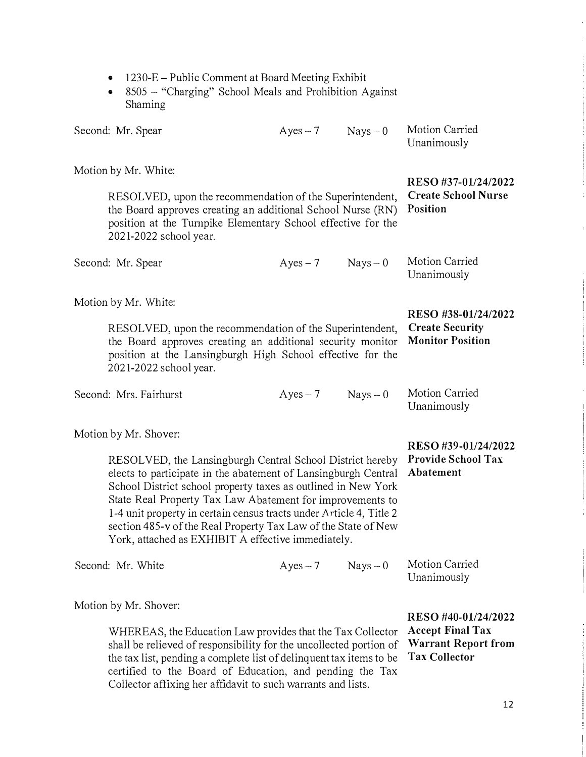| 8505 – "Charging" School Meals and Prohibition Against<br>Shaming                                                                                                                                                                                                                                                                                                                                                                                        |                                                                                                      |            |                               |
|----------------------------------------------------------------------------------------------------------------------------------------------------------------------------------------------------------------------------------------------------------------------------------------------------------------------------------------------------------------------------------------------------------------------------------------------------------|------------------------------------------------------------------------------------------------------|------------|-------------------------------|
| Second: Mr. Spear                                                                                                                                                                                                                                                                                                                                                                                                                                        | Ayes $-7$                                                                                            | $Nays - 0$ | Motion Carried<br>Unanimously |
| Motion by Mr. White:                                                                                                                                                                                                                                                                                                                                                                                                                                     |                                                                                                      |            |                               |
| RESOLVED, upon the recommendation of the Superintendent,<br>the Board approves creating an additional School Nurse (RN)<br>position at the Turnpike Elementary School effective for the<br>2021-2022 school year.                                                                                                                                                                                                                                        | RESO #37-01/24/2022<br><b>Create School Nurse</b><br><b>Position</b>                                 |            |                               |
| Second: Mr. Spear                                                                                                                                                                                                                                                                                                                                                                                                                                        | $Ayes - 7$                                                                                           | $Nays - 0$ | Motion Carried<br>Unanimously |
| Motion by Mr. White:                                                                                                                                                                                                                                                                                                                                                                                                                                     |                                                                                                      |            |                               |
| RESOLVED, upon the recommendation of the Superintendent,<br>the Board approves creating an additional security monitor<br>position at the Lansingburgh High School effective for the<br>2021-2022 school year.                                                                                                                                                                                                                                           | RESO #38-01/24/2022<br><b>Create Security</b><br><b>Monitor Position</b>                             |            |                               |
| Second: Mrs. Fairhurst                                                                                                                                                                                                                                                                                                                                                                                                                                   | $Ayes-7$                                                                                             | $Nays - 0$ | Motion Carried<br>Unanimously |
| Motion by Mr. Shover:                                                                                                                                                                                                                                                                                                                                                                                                                                    |                                                                                                      |            |                               |
| RESOLVED, the Lansingburgh Central School District hereby<br>elects to participate in the abatement of Lansingburgh Central<br>School District school property taxes as outlined in New York<br>State Real Property Tax Law Abatement for improvements to<br>1-4 unit property in certain census tracts under Article 4, Title 2<br>section 485-v of the Real Property Tax Law of the State of New<br>York, attached as EXHIBIT A effective immediately. | RESO #39-01/24/2022<br>Provide School Tax<br>Abatement                                               |            |                               |
| Second: Mr. White                                                                                                                                                                                                                                                                                                                                                                                                                                        | $Ayes - 7$                                                                                           | $Nays - 0$ | Motion Carried<br>Unanimously |
| Motion by Mr. Shover:                                                                                                                                                                                                                                                                                                                                                                                                                                    |                                                                                                      |            |                               |
| WHEREAS, the Education Law provides that the Tax Collector<br>shall be relieved of responsibility for the uncollected portion of<br>the tax list, pending a complete list of delinquent tax items to be                                                                                                                                                                                                                                                  | RESO #40-01/24/2022<br><b>Accept Final Tax</b><br><b>Warrant Report from</b><br><b>Tax Collector</b> |            |                               |

**certified to the Board of Education, and pending the Tax Collector affixing her affidavit to such wanants and lists.** 

**• 1 230-E - Public Comment at Board Meeting Exhibit**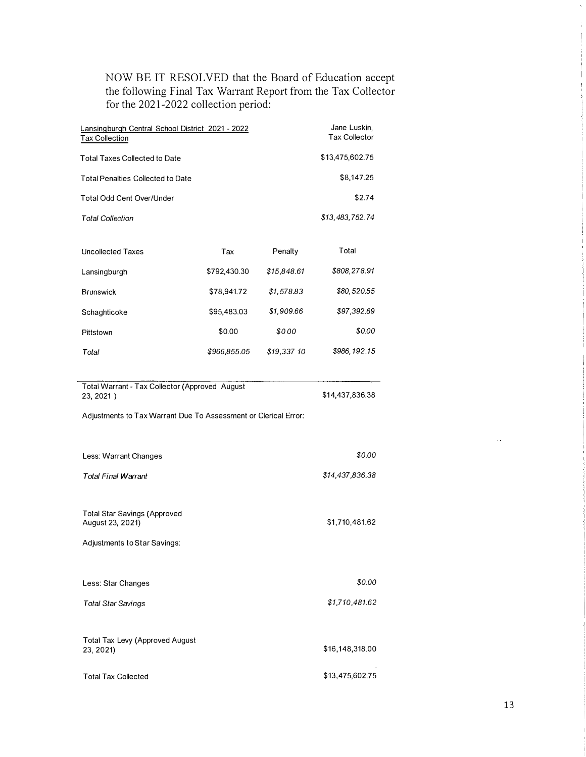**NOW BE IT RESOLVED that the Board of Education accept**  the following Final Tax Warrant Report from the Tax Collector **for the 2021-2022 collection period:** 

| Lansingburgh Central School District 2021 - 2022<br><b>Tax Collection</b>                                                                         | Jane Luskin,<br><b>Tax Collector</b> |             |                 |  |
|---------------------------------------------------------------------------------------------------------------------------------------------------|--------------------------------------|-------------|-----------------|--|
| <b>Total Taxes Collected to Date</b>                                                                                                              |                                      |             |                 |  |
| <b>Total Penalties Collected to Date</b>                                                                                                          |                                      |             | \$8,147.25      |  |
| Total Odd Cent Over/Under                                                                                                                         |                                      |             | \$2.74          |  |
| <b>Total Collection</b>                                                                                                                           |                                      |             | \$13,483,752.74 |  |
| <b>Uncollected Taxes</b>                                                                                                                          | Tax                                  | Penalty     | Total           |  |
| Lansingburgh                                                                                                                                      | \$792,430.30                         | \$15,848.61 | \$808,278.91    |  |
| <b>Brunswick</b>                                                                                                                                  | \$78,941.72                          | \$1,578.83  | \$80,520.55     |  |
| Schaghticoke                                                                                                                                      | \$95,483.03                          | \$1,909.66  | \$97,392.69     |  |
| Pittstown                                                                                                                                         | \$0.00                               | \$000       | \$0.00          |  |
| Total                                                                                                                                             | \$966,855.05                         | \$19,337 10 | \$986, 192.15   |  |
| Total Warrant - Tax Collector (Approved August<br>\$14,437,836.38<br>23, 2021)<br>Adjustments to Tax Warrant Due To Assessment or Clerical Error: |                                      |             |                 |  |
|                                                                                                                                                   |                                      |             |                 |  |
| Less: Warrant Changes                                                                                                                             |                                      |             | \$0.00          |  |
| <b>Total Final Warrant</b>                                                                                                                        |                                      |             | \$14,437,836.38 |  |
| <b>Total Star Savings (Approved</b><br>August 23, 2021)<br>Adjustments to Star Savings:                                                           |                                      |             | \$1,710,481.62  |  |
| Less: Star Changes                                                                                                                                |                                      |             | \$0.00          |  |
| <b>Total Star Savings</b>                                                                                                                         |                                      |             | \$1,710,481.62  |  |
| Total Tax Levy (Approved August<br>23, 2021)                                                                                                      |                                      |             | \$16,148,318.00 |  |

 $\bar{\omega}$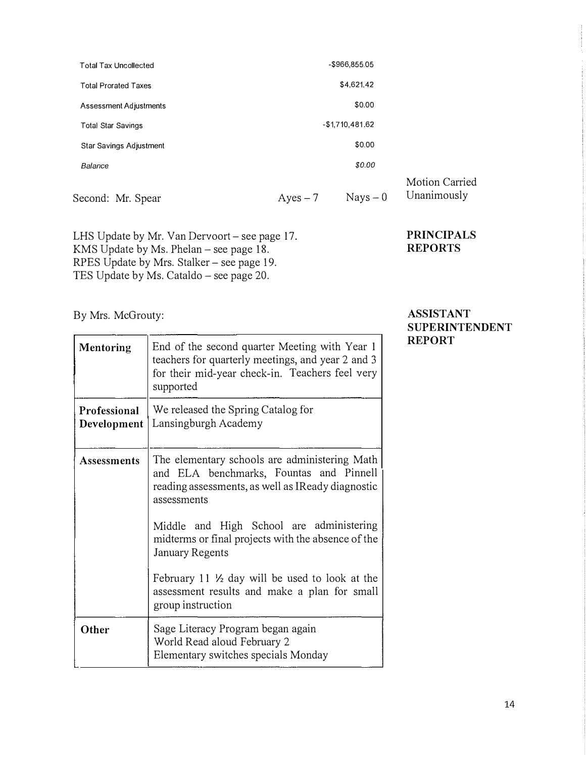| <b>Total Tax Uncollected</b>     | $-$966.855.05$ |                 |  |
|----------------------------------|----------------|-----------------|--|
| <b>Total Prorated Taxes</b>      |                | \$4,621.42      |  |
| \$0.00<br>Assessment Adjustments |                |                 |  |
| <b>Total Star Savings</b>        |                | -\$1,710,481.62 |  |
| <b>Star Savings Adjustment</b>   |                | \$0.00          |  |
| Balance                          |                | \$0.00          |  |
| Second: Mr. Spear                | Ayes $-7$      | $Nays - 0$      |  |

LHS Update by Mr. Van Dervoort - see page 17. KMS Update by Ms. Phelan – see page  $18$ . RPES Update by Mrs. Stalker – see page 19. TES Update by Ms. Cataldo  $-$  see page 20.

By Mrs. McGrouty:

| <b>Mentoring</b>            | End of the second quarter Meeting with Year 1<br>teachers for quarterly meetings, and year 2 and 3<br>for their mid-year check-in. Teachers feel very<br>supported |
|-----------------------------|--------------------------------------------------------------------------------------------------------------------------------------------------------------------|
| Professional<br>Development | We released the Spring Catalog for<br>Lansingburgh Academy                                                                                                         |
| <b>Assessments</b>          | The elementary schools are administering Math<br>and ELA benchmarks, Fountas and Pinnell<br>reading assessments, as well as IReady diagnostic<br>assessments       |
|                             | Middle and High School are administering<br>midterms or final projects with the absence of the<br><b>January Regents</b>                                           |
|                             | February 11 $\frac{1}{2}$ day will be used to look at the<br>assessment results and make a plan for small<br>group instruction                                     |
| Other                       | Sage Literacy Program began again<br>World Read aloud February 2<br>Elementary switches specials Monday                                                            |

#### **ASSISTANT SUPERINTENDENT REPORT**

Motion Carried Unanimously

**PRINCIPALS REPORTS**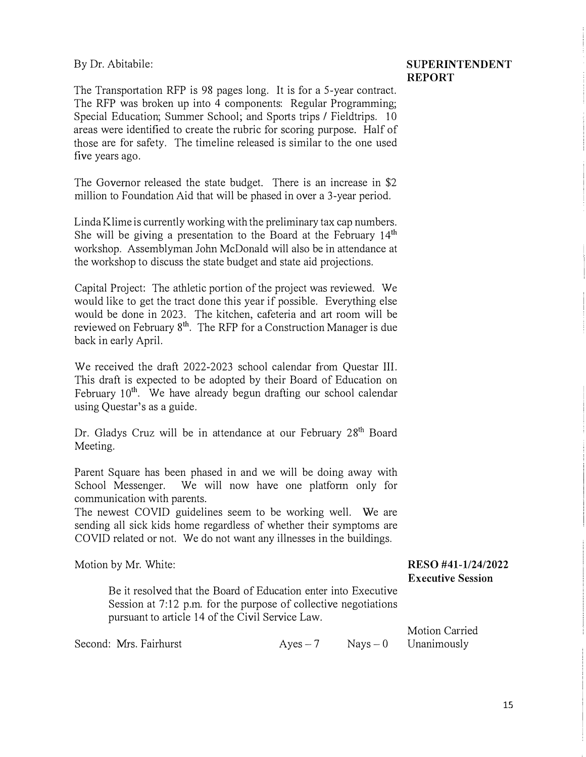By Dr. Abitabile:

#### **SUPERINTENDENT REPORT**

The Transportation RFP is 98 pages long. It is for a 5-year contract. The RFP was broken up into 4 components: Regular Programming; Special Education; Summer School; and Sports trips / Fieldtrips. 10 areas were identified to create the rubric for scoring purpose. Half of those are for safety. The timeline released is similar to the one used five years ago.

The Governor released the state budget. There is an increase in \$2 million to Foundation Aid that will be phased in over a 3-year period.

Linda Klime is currently working with the preliminary tax cap numbers. She will be giving a presentation to the Board at the February  $14<sup>th</sup>$ workshop. Assemblyman John McDonald will also be in attendance at the workshop to discuss the state budget and state aid projections.

Capital Project: The athletic portion of the project was reviewed. We would like to get the tract done this year if possible. Everything else would be done in 2023. The kitchen, cafeteria and art room will be reviewed on February  $8<sup>th</sup>$ . The RFP for a Construction Manager is due back in early April.

We received the draft 2022-2023 school calendar from Questar III. This draft is expected to be adopted by their Board of Education on February  $10<sup>th</sup>$ . We have already begun drafting our school calendar using Questar's as a guide.

Dr. Gladys Cruz will be in attendance at our February 28<sup>th</sup> Board Meeting.

Parent Square has been phased in and we will be doing away with School Messenger. We will now have one platform only for communication with parents.

The newest COVID guidelines seem to be working well. We are sending all sick kids home regardless of whether their symptoms are COVID related or not. We do not want any illnesses in the buildings.

Motion by Mr. White:

Be it resolved that the Board of Education enter into Executive Session at 7:12 p.m. for the purpose of collective negotiations pursuant to article 14 of the Civil Service Law.

Second: Mrs. Fairhurst  $Ayes-7$  Nays  $-0$ 

Motion Carried Unanimously

**RESO #41-1/24/2022 Executive Session**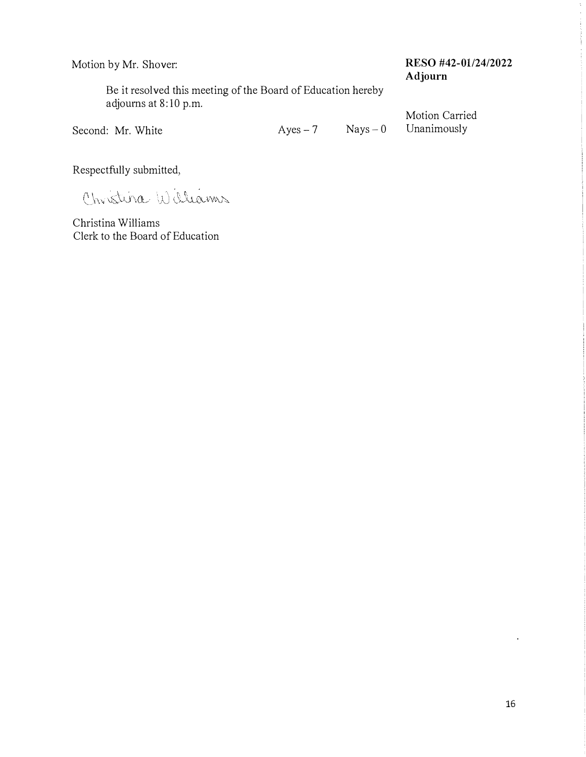### **Motion by Mr. Shover: RESO #42-01/24/2022 Adjourn**

**Be it resolved this meeting of the Board of Education hereby adjourns at 8:10 p.m.** 

Second: Mr. White **Ayes-7** Nays-0 Unanimously

**Motion Carried** 

**Respectfully submitted,** 

Christina Williams

**Christina Williams Clerk to the Board of Education** 

 $\mathbf{r}$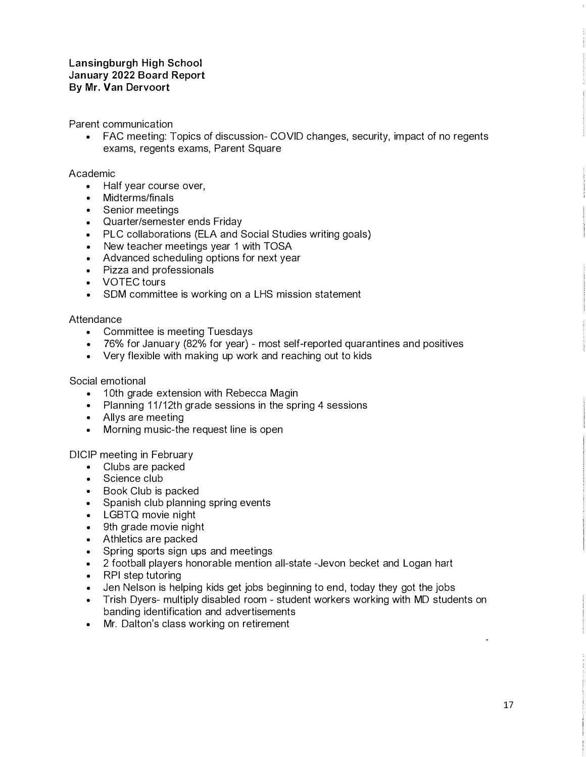Parent communication

• FAC meeting: Topics of discussion- COVID changes, security, impact of no regents exams, regents exams, Parent Square

#### Academic

- Half year course over,
- Midterms/finals
- Senior meetings
- Quarter/semester ends Friday
- PLC collaborations (ELA and Social Studies writing goals)
- New teacher meetings year 1 with TOSA
- Advanced scheduling options for next year
- Pizza and professionals
- VOTEC tours
- SOM committee is working on a LHS mission statement

#### **Attendance**

- Committee is meeting Tuesdays
- 76% for January (82% for year) most self-reported quarantines and positives
- Very flexible with making up work and reaching out to kids

#### Social emotional

- 10th grade extension with Rebecca Magin
- Planning 11/12th grade sessions in the spring 4 sessions
- Allys are meeting
- Morning music-the request line is open

#### DICIP meeting in February

- Clubs are packed
- Science club
- Book Club is packed
- Spanish club planning spring events
- LGBTQ movie night
- 9th grade movie night
- Athletics are packed
- Spring sports sign ups and meetings
- 2 football players honorable mention all-state -Jevon becket and Logan hart
- RPI step tutoring
- Jen Nelson is helping kids get jobs beginning to end, today they got the jobs
- Trish Dyers- multiply disabled room student workers working with MD students on banding identification and advertisements
- Mr. Dalton's class working on retirement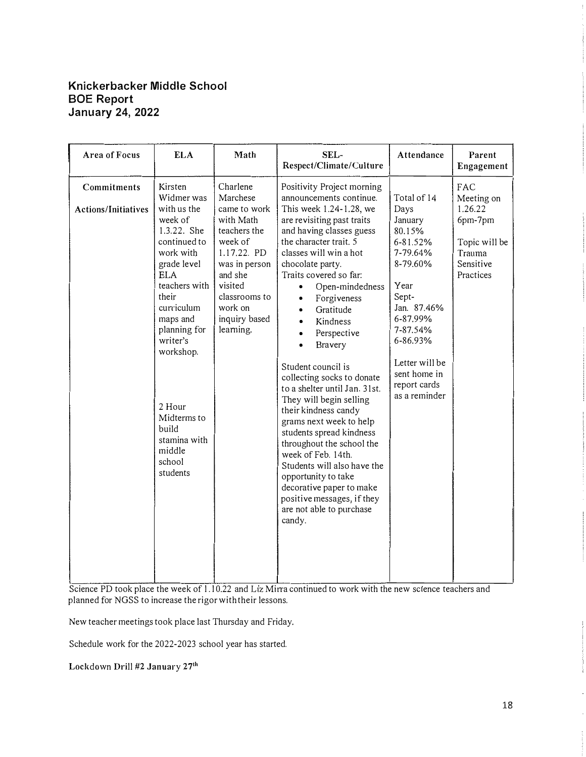#### **Knickerbacker Middle School BOE Report January 24, 2022**

| Area of Focus                             | <b>ELA</b>                                                                                                                                                                                                                                                                                                     | Math                                                                                                                                                                                         | SEL-<br>Respect/Climate/Culture                                                                                                                                                                                                                                                                                                                                                                                                                                                                                                                                                                                                                                                                                                                                                                                         | Attendance                                                                                                                                                                                                          | Parent<br>Engagement                                                                         |
|-------------------------------------------|----------------------------------------------------------------------------------------------------------------------------------------------------------------------------------------------------------------------------------------------------------------------------------------------------------------|----------------------------------------------------------------------------------------------------------------------------------------------------------------------------------------------|-------------------------------------------------------------------------------------------------------------------------------------------------------------------------------------------------------------------------------------------------------------------------------------------------------------------------------------------------------------------------------------------------------------------------------------------------------------------------------------------------------------------------------------------------------------------------------------------------------------------------------------------------------------------------------------------------------------------------------------------------------------------------------------------------------------------------|---------------------------------------------------------------------------------------------------------------------------------------------------------------------------------------------------------------------|----------------------------------------------------------------------------------------------|
| Commitments<br><b>Actions/Initiatives</b> | Kirsten<br>Widmer was<br>with us the<br>week of<br>1.3.22. She<br>continued to<br>work with<br>grade level<br><b>ELA</b><br>teachers with<br>their<br>curriculum<br>maps and<br>planning for<br>writer's<br>workshop.<br>2 Hour<br>Midterms to<br><b>build</b><br>stamina with<br>middle<br>school<br>students | Charlene<br>Marchese<br>came to work<br>with Math<br>teachers the<br>week of<br>1.17.22. PD<br>was in person<br>and she<br>visited<br>classrooms to<br>work on<br>inquiry based<br>learning. | Positivity Project morning<br>announcements continue.<br>This week 1.24-1.28, we<br>are revisiting past traits<br>and having classes guess<br>the character trait. 5<br>classes will win a hot<br>chocolate party.<br>Traits covered so far:<br>Open-mindedness<br>$\bullet$<br>Forgiveness<br>$\bullet$<br>Gratitude<br>$\bullet$<br>Kindness<br>$\bullet$<br>Perspective<br>$\bullet$<br>Bravery<br>$\bullet$<br>Student council is<br>collecting socks to donate<br>to a shelter until Jan. 31st.<br>They will begin selling<br>their kindness candy<br>grams next week to help<br>students spread kindness<br>throughout the school the<br>week of Feb. 14th.<br>Students will also have the<br>opportunity to take<br>decorative paper to make<br>positive messages, if they<br>are not able to purchase<br>candy. | Total of 14<br>Days<br>January<br>80.15%<br>6-81.52%<br>7-79.64%<br>8-79.60%<br>Year<br>Sept-<br>Jan. 87.46%<br>6-87.99%<br>7-87.54%<br>6-86.93%<br>Letter will be<br>sent home in<br>report cards<br>as a reminder | FAC<br>Meeting on<br>1.26.22<br>6pm-7pm<br>Topic will be<br>Trauma<br>Sensitive<br>Practices |

Science PD took place the week of 1.10.22 and Liz Mirra continued to work with the new science teachers and planned for NGSS to increase the rigor with their lessons.

New teacher meetings took place last Thursday and Friday.

Schedule work for the 2022-2023 school year has started.

Lockdown Drill #2 January 27**th**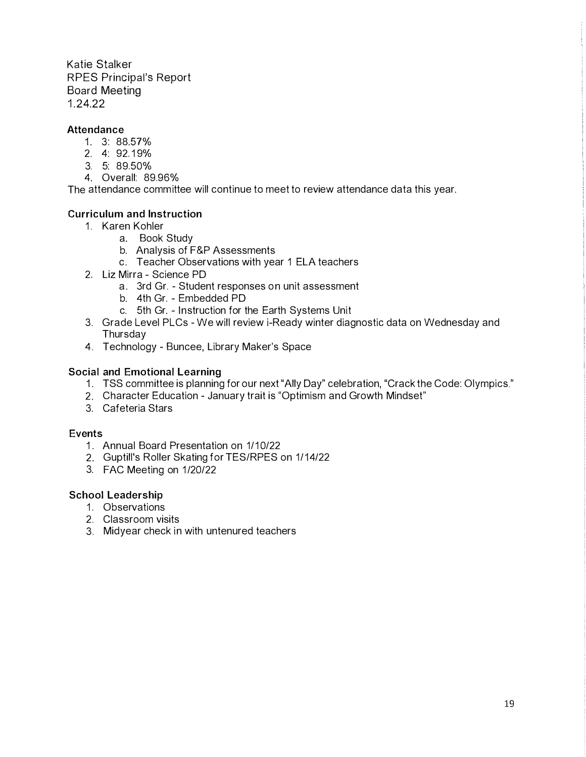Katie Stalker RPES Principal's Report Board Meeting 1 .24.22

#### **Attendance**

- 1. 3: 88.57%
- 2. 4: 92.1 9%
- 3. 5: 89.50%
- 4. Overall: 89.96%

The attendance committee will continue to meet to review attendance data this year.

#### **Curriculum and Instruction**

- 1. Karen Kohler
	- a. Book Study
	- b. Analysis of F&P Assessments
	- c. Teacher Observations with year 1 ELA teachers
- 2. Liz Mirra Science PD
	- a. 3rd Gr. Student responses on unit assessment
	- b. 4th Gr. Embedded PD
	- c. 5th Gr. Instruction for the Earth Systems Unit
- 3. Grade Level PLCs We will review i-Ready winter diagnostic data on Wednesday and Thursday
- 4. Technology Buncee, Library Maker's Space

#### **Social and Emotional Learning**

- 1. TSS committee is planning for our next "Ally Day" celebration, "Crack the Code: Olympics."
- 2. Character Education January trait is "Optimism and Growth Mindset"
- 3. Cafeteria Stars

#### **Events**

- 1. Annual Board Presentation on 1/10/22
- 2. Guptill's Roller Skating for TES/RPES on 1/14/22
- 3. FAC Meeting on 1/20/22

#### **School Leadership**

- 1. Observations
- 2. Classroom visits
- 3. Midyear check in with untenured teachers